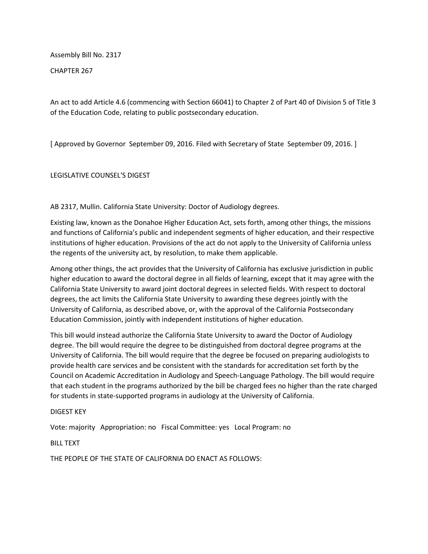Assembly Bill No. 2317

CHAPTER 267

An act to add Article 4.6 (commencing with Section 66041) to Chapter 2 of Part 40 of Division 5 of Title 3 of the Education Code, relating to public postsecondary education.

[ Approved by Governor September 09, 2016. Filed with Secretary of State September 09, 2016. ]

LEGISLATIVE COUNSEL'S DIGEST

AB 2317, Mullin. California State University: Doctor of Audiology degrees.

Existing law, known as the Donahoe Higher Education Act, sets forth, among other things, the missions and functions of California's public and independent segments of higher education, and their respective institutions of higher education. Provisions of the act do not apply to the University of California unless the regents of the university act, by resolution, to make them applicable.

Among other things, the act provides that the University of California has exclusive jurisdiction in public higher education to award the doctoral degree in all fields of learning, except that it may agree with the California State University to award joint doctoral degrees in selected fields. With respect to doctoral degrees, the act limits the California State University to awarding these degrees jointly with the University of California, as described above, or, with the approval of the California Postsecondary Education Commission, jointly with independent institutions of higher education.

This bill would instead authorize the California State University to award the Doctor of Audiology degree. The bill would require the degree to be distinguished from doctoral degree programs at the University of California. The bill would require that the degree be focused on preparing audiologists to provide health care services and be consistent with the standards for accreditation set forth by the Council on Academic Accreditation in Audiology and Speech-Language Pathology. The bill would require that each student in the programs authorized by the bill be charged fees no higher than the rate charged for students in state-supported programs in audiology at the University of California.

## DIGEST KEY

Vote: majority Appropriation: no Fiscal Committee: yes Local Program: no

BILL TEXT

THE PEOPLE OF THE STATE OF CALIFORNIA DO ENACT AS FOLLOWS: